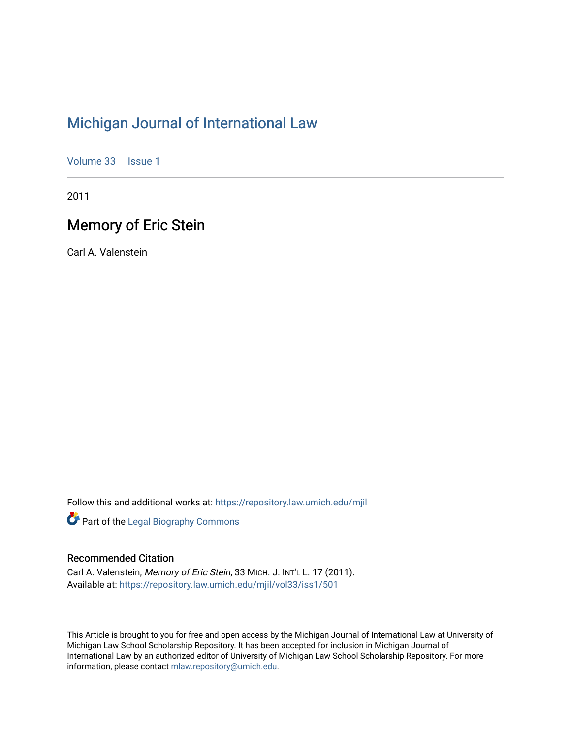# [Michigan Journal of International Law](https://repository.law.umich.edu/mjil)

[Volume 33](https://repository.law.umich.edu/mjil/vol33) | [Issue 1](https://repository.law.umich.edu/mjil/vol33/iss1)

2011

# Memory of Eric Stein

Carl A. Valenstein

Follow this and additional works at: [https://repository.law.umich.edu/mjil](https://repository.law.umich.edu/mjil?utm_source=repository.law.umich.edu%2Fmjil%2Fvol33%2Fiss1%2F501&utm_medium=PDF&utm_campaign=PDFCoverPages) 

**Part of the Legal Biography Commons** 

### Recommended Citation

Carl A. Valenstein, Memory of Eric Stein, 33 MICH. J. INT'L L. 17 (2011). Available at: [https://repository.law.umich.edu/mjil/vol33/iss1/501](https://repository.law.umich.edu/mjil/vol33/iss1/501?utm_source=repository.law.umich.edu%2Fmjil%2Fvol33%2Fiss1%2F501&utm_medium=PDF&utm_campaign=PDFCoverPages) 

This Article is brought to you for free and open access by the Michigan Journal of International Law at University of Michigan Law School Scholarship Repository. It has been accepted for inclusion in Michigan Journal of International Law by an authorized editor of University of Michigan Law School Scholarship Repository. For more information, please contact [mlaw.repository@umich.edu](mailto:mlaw.repository@umich.edu).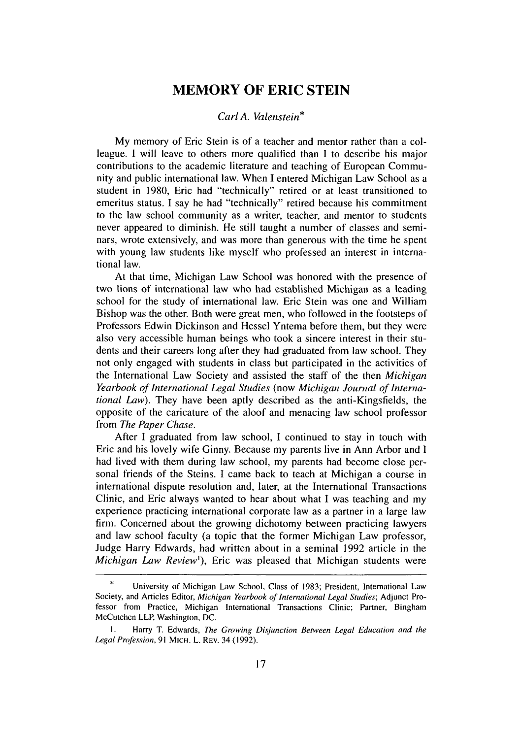### **MEMORY OF ERIC STEIN**

#### *Carl A. Valenstein\**

My memory of Eric Stein is of a teacher and mentor rather than a colleague. I will leave to others more qualified than I to describe his major contributions to the academic literature and teaching of European Community and public international law. When I entered Michigan Law School as a student in 1980, Eric had "technically" retired or at least transitioned to emeritus status. I say he had "technically" retired because his commitment to the law school community as a writer, teacher, and mentor to students never appeared to diminish. He still taught a number of classes and seminars, wrote extensively, and was more than generous with the time he spent with young law students like myself who professed an interest in international law.

At that time, Michigan Law School was honored with the presence of two lions of international law who had established Michigan as a leading school for the study of international law. Eric Stein was one and William Bishop was the other. Both were great men, who followed in the footsteps of Professors Edwin Dickinson and Hessel Yntema before them, but they were also very accessible human beings who took a sincere interest in their students and their careers long after they had graduated from law school. They not only engaged with students in class but participated in the activities of the International Law Society and assisted the staff of the then *Michigan Yearbook of International Legal Studies* (now *Michigan Journal of International Law).* They have been aptly described as the anti-Kingsfields, the opposite of the caricature of the aloof and menacing law school professor from *The Paper Chase.*

After I graduated from law school, I continued to stay in touch with Eric and his lovely wife Ginny. Because my parents live in Ann Arbor and I had lived with them during law school, my parents had become close personal friends of the Steins. I came back to teach at Michigan a course in international dispute resolution and, later, at the International Transactions Clinic, and Eric always wanted to hear about what I was teaching and my experience practicing international corporate law as a partner in a large law firm. Concerned about the growing dichotomy between practicing lawyers and law school faculty (a topic that the former Michigan Law professor, Judge Harry Edwards, had written about in a seminal 1992 article in the *Michigan Law Review'),* Eric was pleased that Michigan students were

University of Michigan Law School, Class of 1983; President, International Law Society, and Articles Editor, *Michigan Yearbook of International Legal Studies;* Adjunct Professor from Practice, Michigan International Transactions Clinic; Partner, Bingham McCutchen LLP, Washington, DC.

I. Harry T. Edwards, *The Growing Disjunction Between Legal Education and the Legal Profession,* 91 MICH. L. REV. 34 (1992).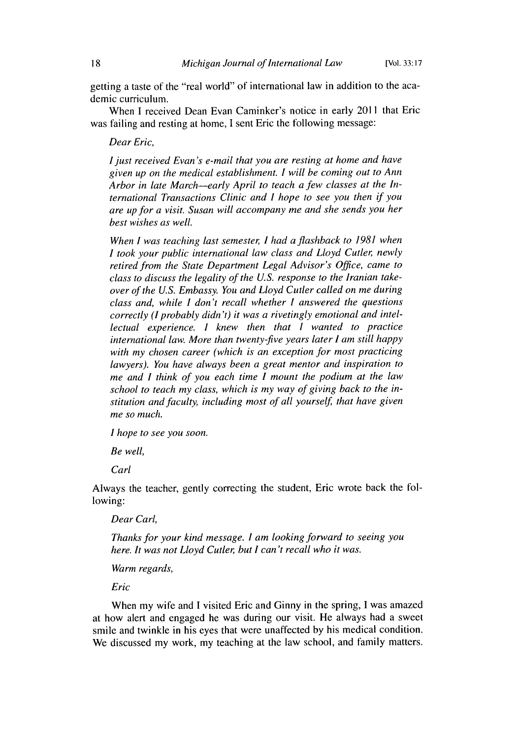getting a taste of the "real world" of international law in addition to the academic curriculum.

When I received Dean Evan Caminker's notice in early 2011 that Eric was failing and resting at home, I sent Eric the following message:

*Dear Eric,*

*I just received Evan's e-mail that you are resting at home and have given up on the medical establishment. I will be coming out to Ann Arbor in late March-early April to teach a few classes at the International Transactions Clinic and I hope to see you then if you are up for a visit. Susan will accompany me and she sends you her best wishes as well.*

*When I was teaching last semester, I had a flashback to 1981 when I took your public international law class and Lloyd Cutler, newly retired from the State Department Legal Advisor's Office, came to class to discuss the legality of the U.S. response to the Iranian takeover of the U.S. Embassy. You and Lloyd Cutler called on me during class and, while I don't recall whether I answered the questions correctly (I probably didn't) it was a rivetingly emotional and intellectual experience. I knew then that I wanted to practice international law. More than twenty-five years later I am still happy with my chosen career (which is an exception for most practicing lawyers). You have always been a great mentor and inspiration to me and I think of you each time I mount the podium at the law school to teach my class, which is my way of giving back to the institution and faculty, including most of all yourself, that have given me so much.*

*I hope to see you soon.*

*Be well,*

*Carl*

Always the teacher, gently correcting the student, Eric wrote back the following:

*Dear Carl,*

*Thanks for your kind message. I am looking forward to seeing you here. It was not Lloyd Cutler, but I can't recall who it was.*

*Warm regards,*

*Eric*

When my wife and I visited Eric and Ginny in the spring, I was amazed at how alert and engaged he was during our visit. He always had a sweet smile and twinkle in his eyes that were unaffected by his medical condition. We discussed my work, my teaching at the law school, and family matters.